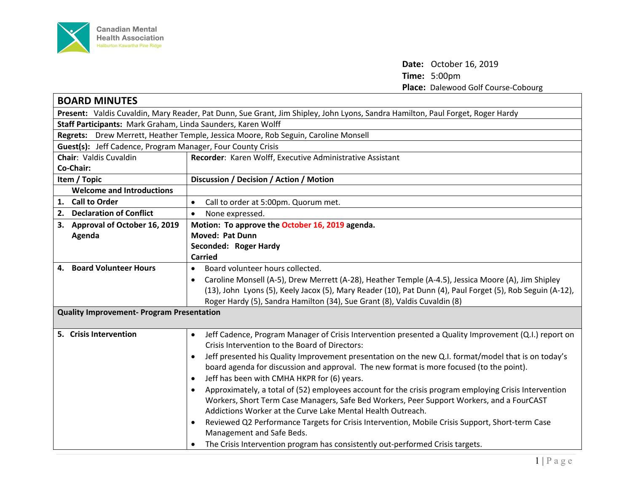

**Date:** October 16, 2019 **Time:** 5:00pm **Place:** Dalewood Golf Course-Cobourg

| <b>BOARD MINUTES</b>                                                                                                           |                                                                                                                    |  |
|--------------------------------------------------------------------------------------------------------------------------------|--------------------------------------------------------------------------------------------------------------------|--|
| Present: Valdis Cuvaldin, Mary Reader, Pat Dunn, Sue Grant, Jim Shipley, John Lyons, Sandra Hamilton, Paul Forget, Roger Hardy |                                                                                                                    |  |
| Staff Participants: Mark Graham, Linda Saunders, Karen Wolff                                                                   |                                                                                                                    |  |
| Regrets: Drew Merrett, Heather Temple, Jessica Moore, Rob Seguin, Caroline Monsell                                             |                                                                                                                    |  |
| <b>Guest(s):</b> Jeff Cadence, Program Manager, Four County Crisis                                                             |                                                                                                                    |  |
| <b>Chair: Valdis Cuvaldin</b>                                                                                                  | Recorder: Karen Wolff, Executive Administrative Assistant                                                          |  |
| Co-Chair:                                                                                                                      |                                                                                                                    |  |
| Item / Topic                                                                                                                   | Discussion / Decision / Action / Motion                                                                            |  |
| <b>Welcome and Introductions</b>                                                                                               |                                                                                                                    |  |
| 1. Call to Order                                                                                                               | Call to order at 5:00pm. Quorum met.                                                                               |  |
| 2. Declaration of Conflict                                                                                                     | None expressed.<br>$\bullet$                                                                                       |  |
| 3. Approval of October 16, 2019                                                                                                | Motion: To approve the October 16, 2019 agenda.                                                                    |  |
| Agenda                                                                                                                         | <b>Moved: Pat Dunn</b>                                                                                             |  |
|                                                                                                                                | Seconded: Roger Hardy                                                                                              |  |
|                                                                                                                                | <b>Carried</b>                                                                                                     |  |
| 4. Board Volunteer Hours                                                                                                       | Board volunteer hours collected.<br>$\bullet$                                                                      |  |
|                                                                                                                                | Caroline Monsell (A-5), Drew Merrett (A-28), Heather Temple (A-4.5), Jessica Moore (A), Jim Shipley                |  |
|                                                                                                                                | (13), John Lyons (5), Keely Jacox (5), Mary Reader (10), Pat Dunn (4), Paul Forget (5), Rob Seguin (A-12),         |  |
|                                                                                                                                | Roger Hardy (5), Sandra Hamilton (34), Sue Grant (8), Valdis Cuvaldin (8)                                          |  |
| <b>Quality Improvement- Program Presentation</b>                                                                               |                                                                                                                    |  |
|                                                                                                                                |                                                                                                                    |  |
| 5. Crisis Intervention                                                                                                         | Jeff Cadence, Program Manager of Crisis Intervention presented a Quality Improvement (Q.I.) report on<br>$\bullet$ |  |
|                                                                                                                                | Crisis Intervention to the Board of Directors:                                                                     |  |
|                                                                                                                                | Jeff presented his Quality Improvement presentation on the new Q.I. format/model that is on today's<br>$\bullet$   |  |
|                                                                                                                                | board agenda for discussion and approval. The new format is more focused (to the point).                           |  |
|                                                                                                                                | Jeff has been with CMHA HKPR for (6) years.<br>$\bullet$                                                           |  |
|                                                                                                                                | Approximately, a total of (52) employees account for the crisis program employing Crisis Intervention<br>$\bullet$ |  |
|                                                                                                                                | Workers, Short Term Case Managers, Safe Bed Workers, Peer Support Workers, and a FourCAST                          |  |
|                                                                                                                                | Addictions Worker at the Curve Lake Mental Health Outreach.                                                        |  |
|                                                                                                                                | Reviewed Q2 Performance Targets for Crisis Intervention, Mobile Crisis Support, Short-term Case                    |  |
|                                                                                                                                | Management and Safe Beds.                                                                                          |  |
|                                                                                                                                | The Crisis Intervention program has consistently out-performed Crisis targets.                                     |  |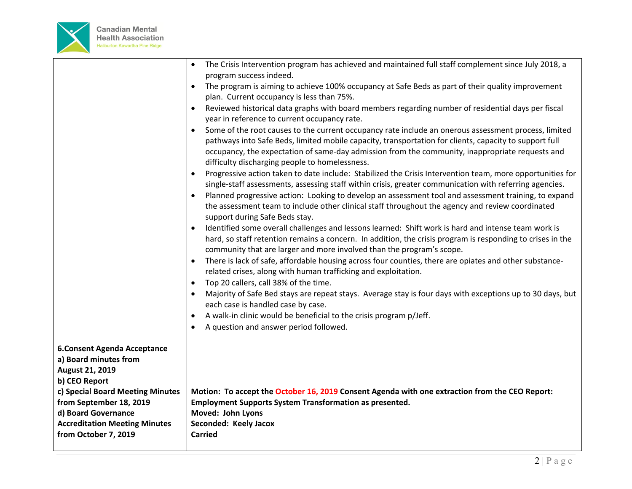

|                                                                                                                                                                                                                                                       | The Crisis Intervention program has achieved and maintained full staff complement since July 2018, a<br>$\bullet$<br>program success indeed.<br>The program is aiming to achieve 100% occupancy at Safe Beds as part of their quality improvement<br>plan. Current occupancy is less than 75%.<br>Reviewed historical data graphs with board members regarding number of residential days per fiscal<br>year in reference to current occupancy rate.<br>Some of the root causes to the current occupancy rate include an onerous assessment process, limited<br>pathways into Safe Beds, limited mobile capacity, transportation for clients, capacity to support full<br>occupancy, the expectation of same-day admission from the community, inappropriate requests and<br>difficulty discharging people to homelessness.<br>Progressive action taken to date include: Stabilized the Crisis Intervention team, more opportunities for<br>$\bullet$<br>single-staff assessments, assessing staff within crisis, greater communication with referring agencies.<br>Planned progressive action: Looking to develop an assessment tool and assessment training, to expand<br>the assessment team to include other clinical staff throughout the agency and review coordinated<br>support during Safe Beds stay.<br>Identified some overall challenges and lessons learned: Shift work is hard and intense team work is<br>hard, so staff retention remains a concern. In addition, the crisis program is responding to crises in the<br>community that are larger and more involved than the program's scope.<br>There is lack of safe, affordable housing across four counties, there are opiates and other substance-<br>related crises, along with human trafficking and exploitation.<br>Top 20 callers, call 38% of the time.<br>$\bullet$<br>Majority of Safe Bed stays are repeat stays. Average stay is four days with exceptions up to 30 days, but<br>$\bullet$<br>each case is handled case by case.<br>A walk-in clinic would be beneficial to the crisis program p/Jeff.<br>A question and answer period followed. |
|-------------------------------------------------------------------------------------------------------------------------------------------------------------------------------------------------------------------------------------------------------|--------------------------------------------------------------------------------------------------------------------------------------------------------------------------------------------------------------------------------------------------------------------------------------------------------------------------------------------------------------------------------------------------------------------------------------------------------------------------------------------------------------------------------------------------------------------------------------------------------------------------------------------------------------------------------------------------------------------------------------------------------------------------------------------------------------------------------------------------------------------------------------------------------------------------------------------------------------------------------------------------------------------------------------------------------------------------------------------------------------------------------------------------------------------------------------------------------------------------------------------------------------------------------------------------------------------------------------------------------------------------------------------------------------------------------------------------------------------------------------------------------------------------------------------------------------------------------------------------------------------------------------------------------------------------------------------------------------------------------------------------------------------------------------------------------------------------------------------------------------------------------------------------------------------------------------------------------------------------------------------------------------------------------------------------------------------------------------------------------------------------------|
| <b>6.Consent Agenda Acceptance</b><br>a) Board minutes from<br>August 21, 2019<br>b) CEO Report<br>c) Special Board Meeting Minutes<br>from September 18, 2019<br>d) Board Governance<br><b>Accreditation Meeting Minutes</b><br>from October 7, 2019 | Motion: To accept the October 16, 2019 Consent Agenda with one extraction from the CEO Report:<br><b>Employment Supports System Transformation as presented.</b><br>Moved: John Lyons<br>Seconded: Keely Jacox<br><b>Carried</b>                                                                                                                                                                                                                                                                                                                                                                                                                                                                                                                                                                                                                                                                                                                                                                                                                                                                                                                                                                                                                                                                                                                                                                                                                                                                                                                                                                                                                                                                                                                                                                                                                                                                                                                                                                                                                                                                                               |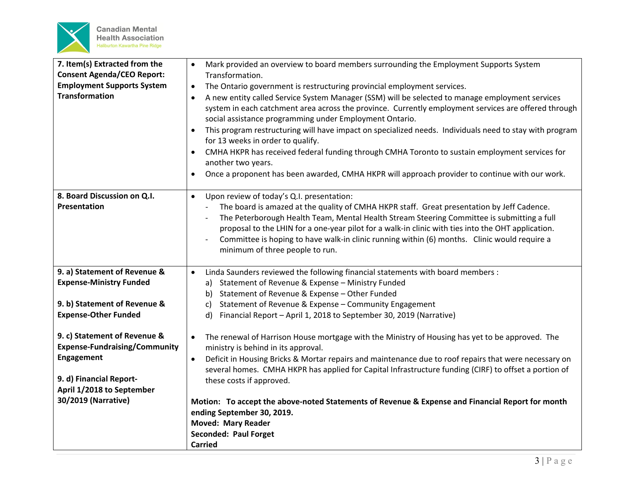

| 7. Item(s) Extracted from the<br><b>Consent Agenda/CEO Report:</b>   | Mark provided an overview to board members surrounding the Employment Supports System<br>$\bullet$<br>Transformation.                                                                                                                                                                                                                                                                                                                                                                                                                     |
|----------------------------------------------------------------------|-------------------------------------------------------------------------------------------------------------------------------------------------------------------------------------------------------------------------------------------------------------------------------------------------------------------------------------------------------------------------------------------------------------------------------------------------------------------------------------------------------------------------------------------|
| <b>Employment Supports System</b>                                    | The Ontario government is restructuring provincial employment services.<br>$\bullet$                                                                                                                                                                                                                                                                                                                                                                                                                                                      |
| <b>Transformation</b>                                                | A new entity called Service System Manager (SSM) will be selected to manage employment services<br>system in each catchment area across the province. Currently employment services are offered through<br>social assistance programming under Employment Ontario.                                                                                                                                                                                                                                                                        |
|                                                                      | This program restructuring will have impact on specialized needs. Individuals need to stay with program<br>$\bullet$<br>for 13 weeks in order to qualify.                                                                                                                                                                                                                                                                                                                                                                                 |
|                                                                      | CMHA HKPR has received federal funding through CMHA Toronto to sustain employment services for<br>another two years.                                                                                                                                                                                                                                                                                                                                                                                                                      |
|                                                                      | Once a proponent has been awarded, CMHA HKPR will approach provider to continue with our work.                                                                                                                                                                                                                                                                                                                                                                                                                                            |
| 8. Board Discussion on Q.I.<br>Presentation                          | Upon review of today's Q.I. presentation:<br>$\bullet$<br>The board is amazed at the quality of CMHA HKPR staff. Great presentation by Jeff Cadence.<br>$\overline{\phantom{a}}$<br>The Peterborough Health Team, Mental Health Stream Steering Committee is submitting a full<br>$\overline{a}$<br>proposal to the LHIN for a one-year pilot for a walk-in clinic with ties into the OHT application.<br>Committee is hoping to have walk-in clinic running within (6) months. Clinic would require a<br>minimum of three people to run. |
| 9. a) Statement of Revenue &                                         | Linda Saunders reviewed the following financial statements with board members :<br>$\bullet$                                                                                                                                                                                                                                                                                                                                                                                                                                              |
| <b>Expense-Ministry Funded</b>                                       | Statement of Revenue & Expense - Ministry Funded<br>a)                                                                                                                                                                                                                                                                                                                                                                                                                                                                                    |
|                                                                      | Statement of Revenue & Expense - Other Funded<br>b)                                                                                                                                                                                                                                                                                                                                                                                                                                                                                       |
| 9. b) Statement of Revenue &                                         | Statement of Revenue & Expense - Community Engagement<br>C)                                                                                                                                                                                                                                                                                                                                                                                                                                                                               |
| <b>Expense-Other Funded</b>                                          | Financial Report - April 1, 2018 to September 30, 2019 (Narrative)<br>d)                                                                                                                                                                                                                                                                                                                                                                                                                                                                  |
| 9. c) Statement of Revenue &<br><b>Expense-Fundraising/Community</b> | The renewal of Harrison House mortgage with the Ministry of Housing has yet to be approved. The<br>$\bullet$<br>ministry is behind in its approval.                                                                                                                                                                                                                                                                                                                                                                                       |
| Engagement                                                           | Deficit in Housing Bricks & Mortar repairs and maintenance due to roof repairs that were necessary on<br>$\bullet$<br>several homes. CMHA HKPR has applied for Capital Infrastructure funding (CIRF) to offset a portion of                                                                                                                                                                                                                                                                                                               |
| 9. d) Financial Report-                                              | these costs if approved.                                                                                                                                                                                                                                                                                                                                                                                                                                                                                                                  |
| April 1/2018 to September                                            |                                                                                                                                                                                                                                                                                                                                                                                                                                                                                                                                           |
| 30/2019 (Narrative)                                                  | Motion: To accept the above-noted Statements of Revenue & Expense and Financial Report for month                                                                                                                                                                                                                                                                                                                                                                                                                                          |
|                                                                      | ending September 30, 2019.                                                                                                                                                                                                                                                                                                                                                                                                                                                                                                                |
|                                                                      | <b>Moved: Mary Reader</b>                                                                                                                                                                                                                                                                                                                                                                                                                                                                                                                 |
|                                                                      | <b>Seconded: Paul Forget</b>                                                                                                                                                                                                                                                                                                                                                                                                                                                                                                              |
|                                                                      | <b>Carried</b>                                                                                                                                                                                                                                                                                                                                                                                                                                                                                                                            |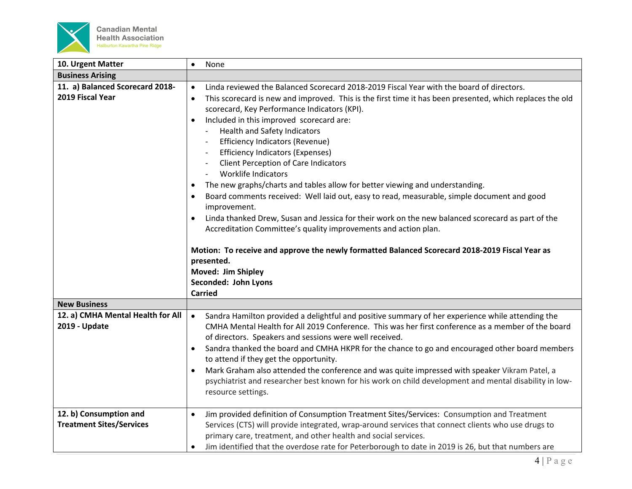

| 10. Urgent Matter                                         | None<br>$\bullet$                                                                                                                                                                                                                                                                                                                                                                                                                                                                                                                                                                                                                                                                                                                                                                                                                                                                                                                                                                       |
|-----------------------------------------------------------|-----------------------------------------------------------------------------------------------------------------------------------------------------------------------------------------------------------------------------------------------------------------------------------------------------------------------------------------------------------------------------------------------------------------------------------------------------------------------------------------------------------------------------------------------------------------------------------------------------------------------------------------------------------------------------------------------------------------------------------------------------------------------------------------------------------------------------------------------------------------------------------------------------------------------------------------------------------------------------------------|
| <b>Business Arising</b>                                   |                                                                                                                                                                                                                                                                                                                                                                                                                                                                                                                                                                                                                                                                                                                                                                                                                                                                                                                                                                                         |
| 11. a) Balanced Scorecard 2018-                           | Linda reviewed the Balanced Scorecard 2018-2019 Fiscal Year with the board of directors.<br>$\bullet$                                                                                                                                                                                                                                                                                                                                                                                                                                                                                                                                                                                                                                                                                                                                                                                                                                                                                   |
| 2019 Fiscal Year                                          | This scorecard is new and improved. This is the first time it has been presented, which replaces the old<br>$\bullet$<br>scorecard, Key Performance Indicators (KPI).<br>Included in this improved scorecard are:<br>$\bullet$<br>Health and Safety Indicators<br><b>Efficiency Indicators (Revenue)</b><br><b>Efficiency Indicators (Expenses)</b><br>Client Perception of Care Indicators<br><b>Worklife Indicators</b><br>The new graphs/charts and tables allow for better viewing and understanding.<br>$\bullet$<br>Board comments received: Well laid out, easy to read, measurable, simple document and good<br>improvement.<br>Linda thanked Drew, Susan and Jessica for their work on the new balanced scorecard as part of the<br>$\bullet$<br>Accreditation Committee's quality improvements and action plan.<br>Motion: To receive and approve the newly formatted Balanced Scorecard 2018-2019 Fiscal Year as<br>presented.<br>Moved: Jim Shipley<br>Seconded: John Lyons |
|                                                           | <b>Carried</b>                                                                                                                                                                                                                                                                                                                                                                                                                                                                                                                                                                                                                                                                                                                                                                                                                                                                                                                                                                          |
| <b>New Business</b>                                       |                                                                                                                                                                                                                                                                                                                                                                                                                                                                                                                                                                                                                                                                                                                                                                                                                                                                                                                                                                                         |
| 12. a) CMHA Mental Health for All<br>2019 - Update        | Sandra Hamilton provided a delightful and positive summary of her experience while attending the<br>$\bullet$<br>CMHA Mental Health for All 2019 Conference. This was her first conference as a member of the board<br>of directors. Speakers and sessions were well received.<br>Sandra thanked the board and CMHA HKPR for the chance to go and encouraged other board members<br>to attend if they get the opportunity.<br>Mark Graham also attended the conference and was quite impressed with speaker Vikram Patel, a<br>psychiatrist and researcher best known for his work on child development and mental disability in low-<br>resource settings.                                                                                                                                                                                                                                                                                                                             |
| 12. b) Consumption and<br><b>Treatment Sites/Services</b> | Jim provided definition of Consumption Treatment Sites/Services: Consumption and Treatment<br>$\bullet$<br>Services (CTS) will provide integrated, wrap-around services that connect clients who use drugs to<br>primary care, treatment, and other health and social services.                                                                                                                                                                                                                                                                                                                                                                                                                                                                                                                                                                                                                                                                                                         |
|                                                           | Jim identified that the overdose rate for Peterborough to date in 2019 is 26, but that numbers are                                                                                                                                                                                                                                                                                                                                                                                                                                                                                                                                                                                                                                                                                                                                                                                                                                                                                      |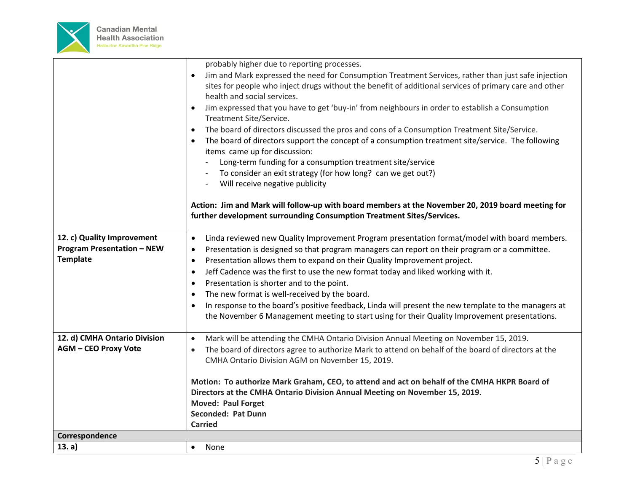

|                                   | probably higher due to reporting processes.                                                                       |
|-----------------------------------|-------------------------------------------------------------------------------------------------------------------|
|                                   | Jim and Mark expressed the need for Consumption Treatment Services, rather than just safe injection<br>$\bullet$  |
|                                   | sites for people who inject drugs without the benefit of additional services of primary care and other            |
|                                   | health and social services.                                                                                       |
|                                   | Jim expressed that you have to get 'buy-in' from neighbours in order to establish a Consumption<br>$\bullet$      |
|                                   | Treatment Site/Service.                                                                                           |
|                                   | The board of directors discussed the pros and cons of a Consumption Treatment Site/Service.<br>$\bullet$          |
|                                   | The board of directors support the concept of a consumption treatment site/service. The following<br>$\bullet$    |
|                                   | items came up for discussion:                                                                                     |
|                                   | Long-term funding for a consumption treatment site/service                                                        |
|                                   | To consider an exit strategy (for how long? can we get out?)                                                      |
|                                   | Will receive negative publicity                                                                                   |
|                                   |                                                                                                                   |
|                                   | Action: Jim and Mark will follow-up with board members at the November 20, 2019 board meeting for                 |
|                                   | further development surrounding Consumption Treatment Sites/Services.                                             |
|                                   |                                                                                                                   |
| 12. c) Quality Improvement        | Linda reviewed new Quality Improvement Program presentation format/model with board members.<br>$\bullet$         |
| <b>Program Presentation - NEW</b> | Presentation is designed so that program managers can report on their program or a committee.<br>$\bullet$        |
| <b>Template</b>                   | Presentation allows them to expand on their Quality Improvement project.<br>$\bullet$                             |
|                                   | Jeff Cadence was the first to use the new format today and liked working with it.<br>$\bullet$                    |
|                                   | Presentation is shorter and to the point.<br>$\bullet$                                                            |
|                                   | The new format is well-received by the board.                                                                     |
|                                   | $\bullet$                                                                                                         |
|                                   | In response to the board's positive feedback, Linda will present the new template to the managers at<br>$\bullet$ |
|                                   | the November 6 Management meeting to start using for their Quality Improvement presentations.                     |
| 12. d) CMHA Ontario Division      | Mark will be attending the CMHA Ontario Division Annual Meeting on November 15, 2019.<br>$\bullet$                |
| <b>AGM - CEO Proxy Vote</b>       |                                                                                                                   |
|                                   | The board of directors agree to authorize Mark to attend on behalf of the board of directors at the               |
|                                   | CMHA Ontario Division AGM on November 15, 2019.                                                                   |
|                                   | Motion: To authorize Mark Graham, CEO, to attend and act on behalf of the CMHA HKPR Board of                      |
|                                   | Directors at the CMHA Ontario Division Annual Meeting on November 15, 2019.                                       |
|                                   | <b>Moved: Paul Forget</b>                                                                                         |
|                                   | Seconded: Pat Dunn                                                                                                |
|                                   | <b>Carried</b>                                                                                                    |
| Correspondence                    |                                                                                                                   |
| 13. a)                            | None<br>$\bullet$                                                                                                 |
|                                   |                                                                                                                   |